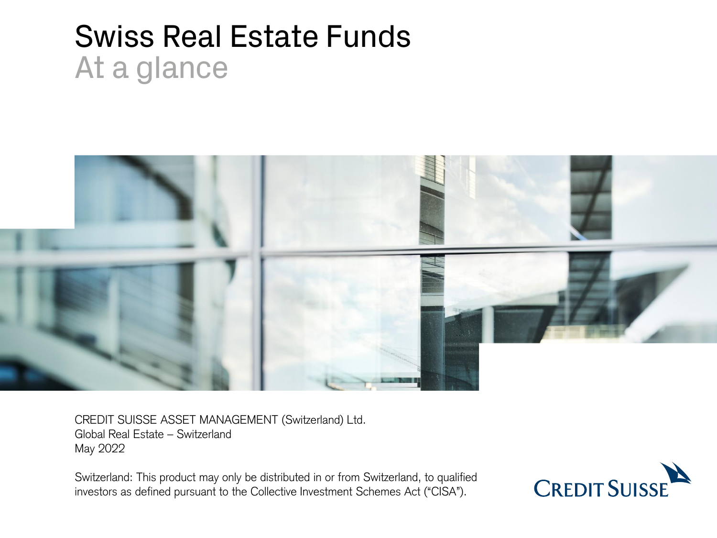# Swiss Real Estate Funds At a glance



CREDIT SUISSE ASSET MANAGEMENT (Switzerland) Ltd. Global Real Estate – Switzerland May 2022

Switzerland: This product may only be distributed in or from Switzerland, to qualified investors as defined pursuant to the Collective Investment Schemes Act ("CISA").

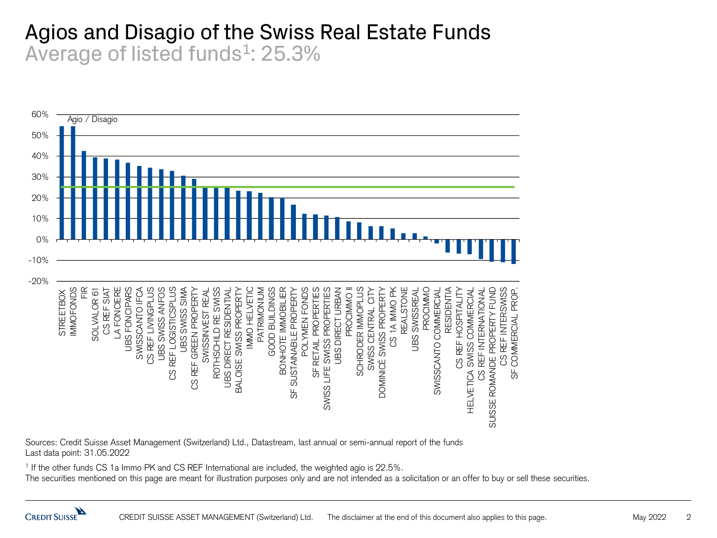#### Agios and Disagio of the Swiss Real Estate Funds Average of listed funds<sup>1</sup>: 25.3%



Sources: Credit Suisse Asset Management (Switzerland) Ltd., Datastream, last annual or semi-annual report of the funds Last data point: 31.05.2022

1 If the other funds CS 1a Immo PK and CS REF International are included, the weighted agio is 22.5%.

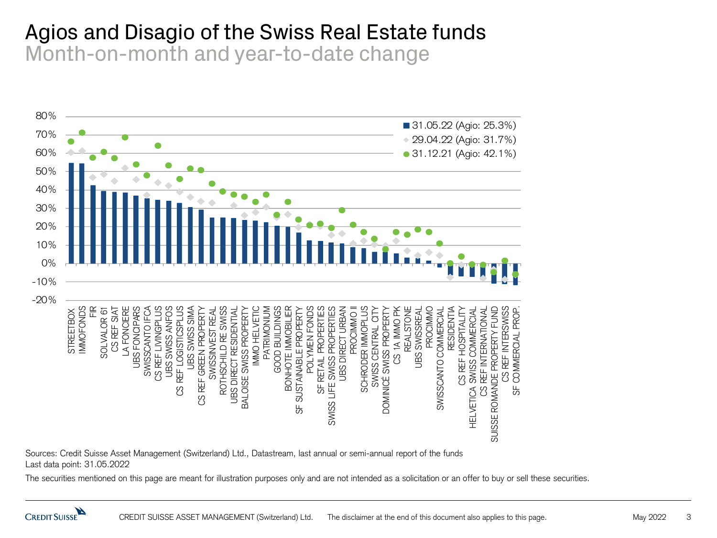#### Agios and Disagio of the Swiss Real Estate funds Month-on-month and year-to-date change



Sources: Credit Suisse Asset Management (Switzerland) Ltd., Datastream, last annual or semi-annual report of the funds Last data point: 31.05.2022

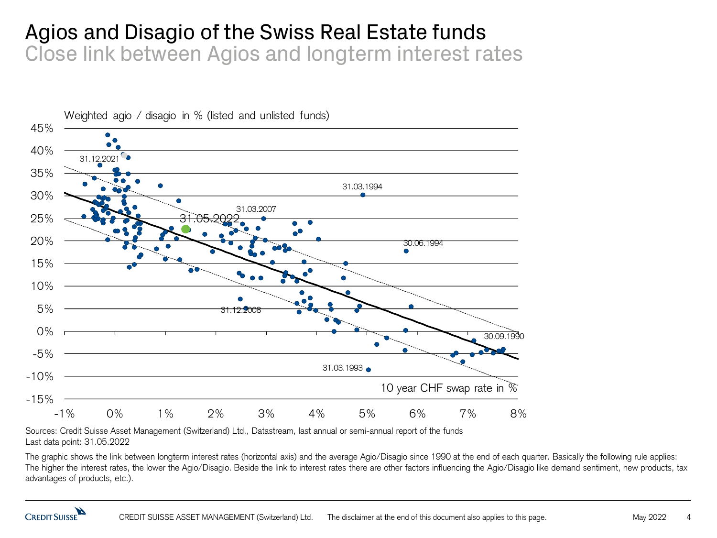#### Agios and Disagio of the Swiss Real Estate funds Close link between Agios and longterm interest rates



Sources: Credit Suisse Asset Management (Switzerland) Ltd., Datastream, last annual or semi-annual report of the funds Last data point: 31.05.2022

The graphic shows the link between longterm interest rates (horizontal axis) and the average Agio/Disagio since 1990 at the end of each quarter. Basically the following rule applies: The higher the interest rates, the lower the Agio/Disagio. Beside the link to interest rates there are other factors influencing the Agio/Disagio like demand sentiment, new products, tax advantages of products, etc.).

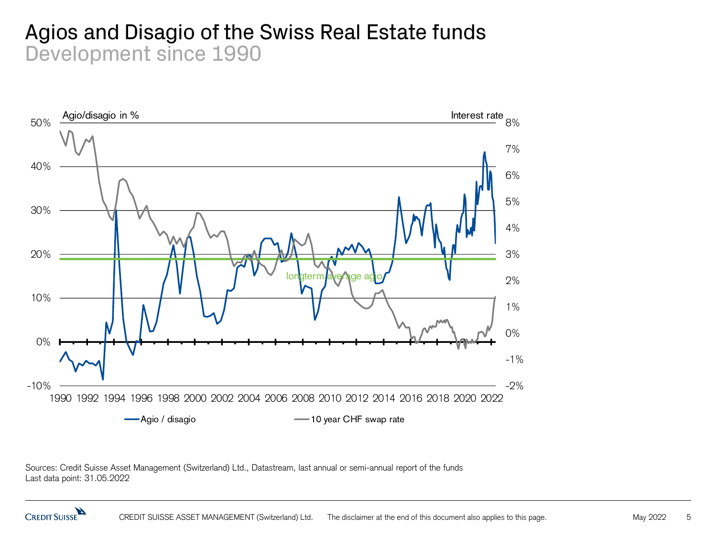#### Agios and Disagio of the Swiss Real Estate funds Development since 1990



Sources: Credit Suisse Asset Management (Switzerland) Ltd., Datastream, last annual or semi-annual report of the funds Last data point: 31.05.2022

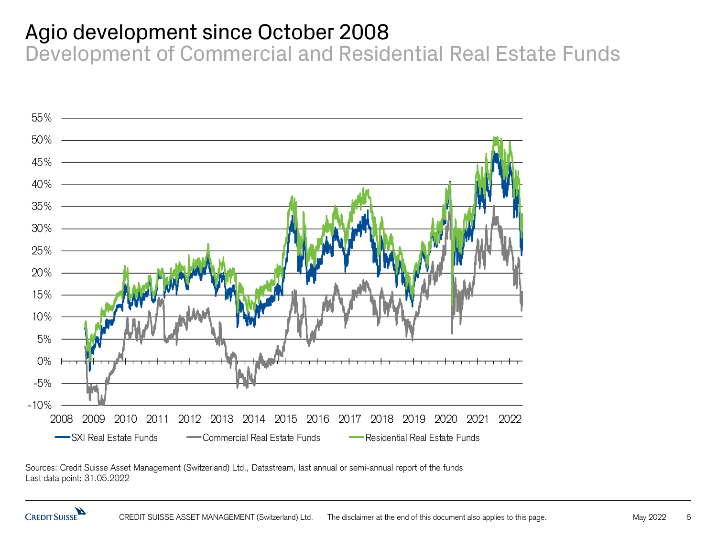### Agio development since October 2008

Development of Commercial and Residential Real Estate Funds



Sources: Credit Suisse Asset Management (Switzerland) Ltd., Datastream, last annual or semi-annual report of the funds Last data point: 31.05.2022

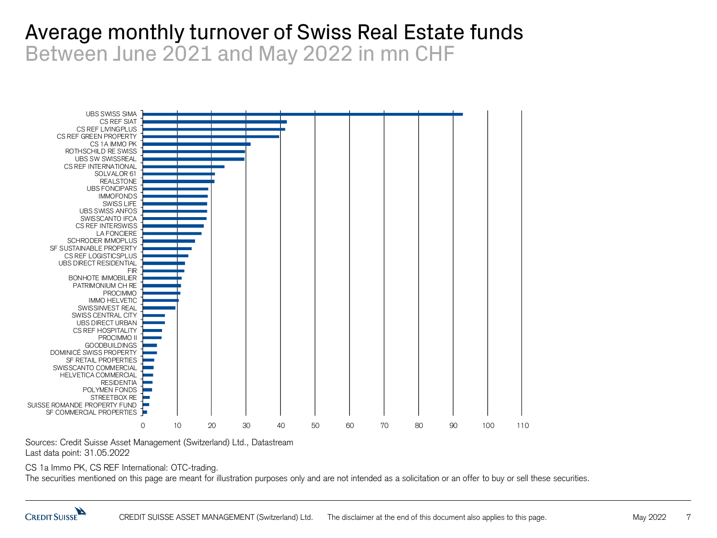#### Average monthly turnover of Swiss Real Estate funds Between June 2021 and May 2022 in mn CHF



Sources: Credit Suisse Asset Management (Switzerland) Ltd., Datastream Last data point: 31.05.2022

CS 1a Immo PK, CS REF International: OTC-trading.

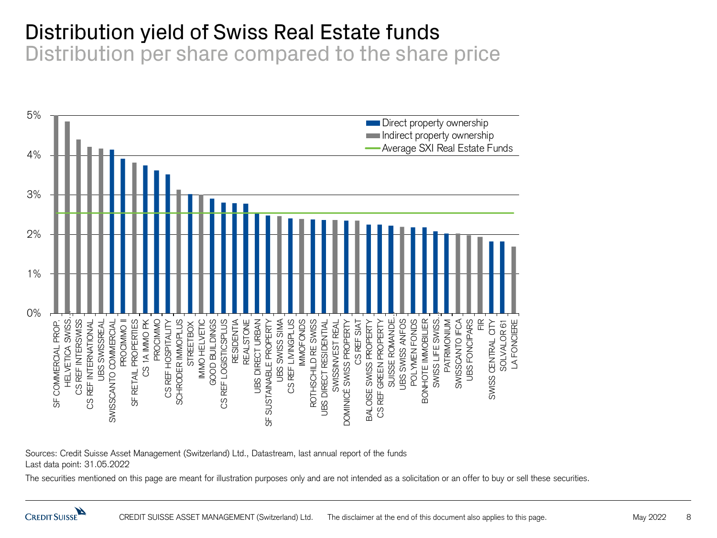#### Distribution yield of Swiss Real Estate funds

Distribution per share compared to the share price



Sources: Credit Suisse Asset Management (Switzerland) Ltd., Datastream, last annual report of the funds Last data point: 31.05.2022

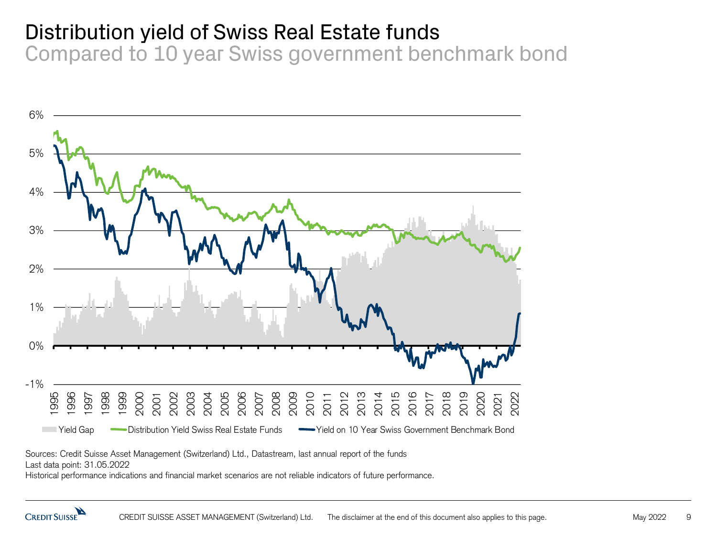## Distribution yield of Swiss Real Estate funds

Compared to 10 year Swiss government benchmark bond



Sources: Credit Suisse Asset Management (Switzerland) Ltd., Datastream, last annual report of the funds

Last data point: 31.05.2022

Historical performance indications and financial market scenarios are not reliable indicators of future performance.

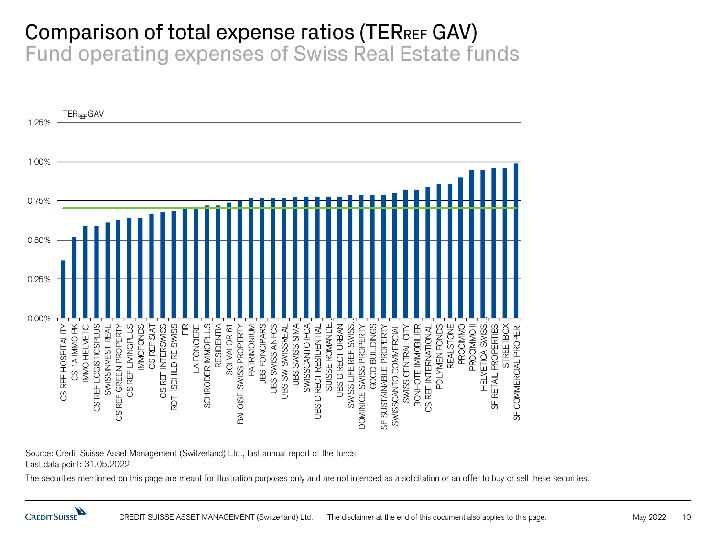#### Comparison of total expense ratios (TERREF GAV) Fund operating expenses of Swiss Real Estate funds



Source: Credit Suisse Asset Management (Switzerland) Ltd., last annual report of the funds Last data point: 31.05.2022

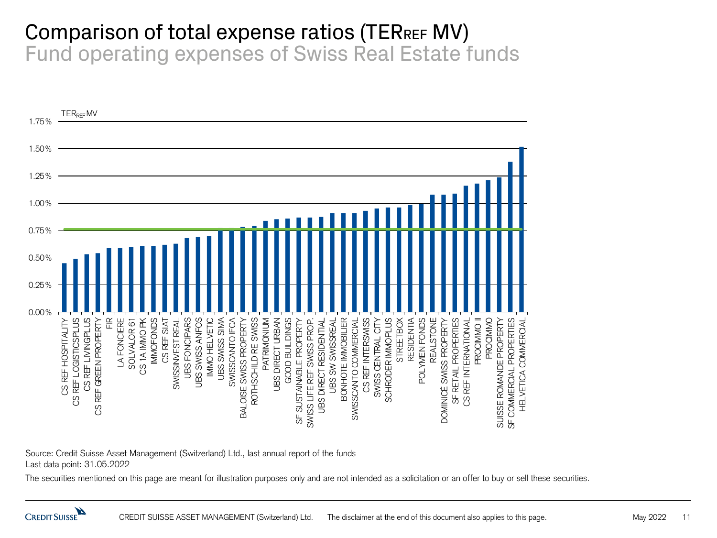#### Comparison of total expense ratios (TERREF MV) Fund operating expenses of Swiss Real Estate funds



Source: Credit Suisse Asset Management (Switzerland) Ltd., last annual report of the funds Last data point: 31.05.2022

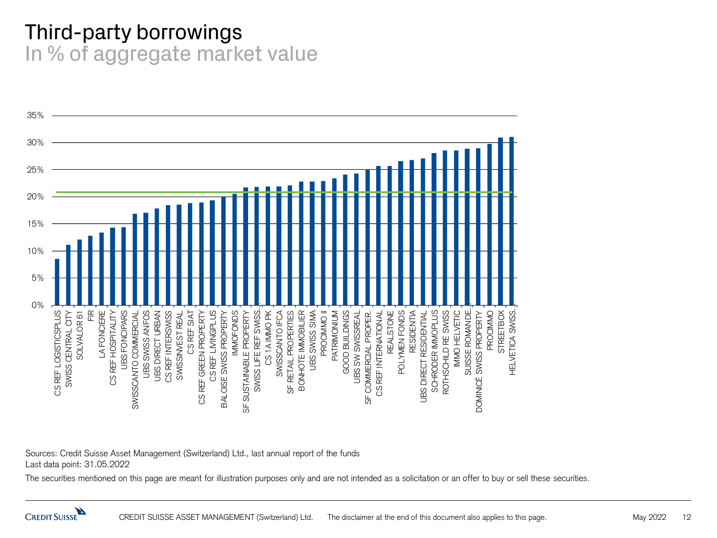#### Third-party borrowings In % of aggregate market value



Sources: Credit Suisse Asset Management (Switzerland) Ltd., last annual report of the funds Last data point: 31.05.2022

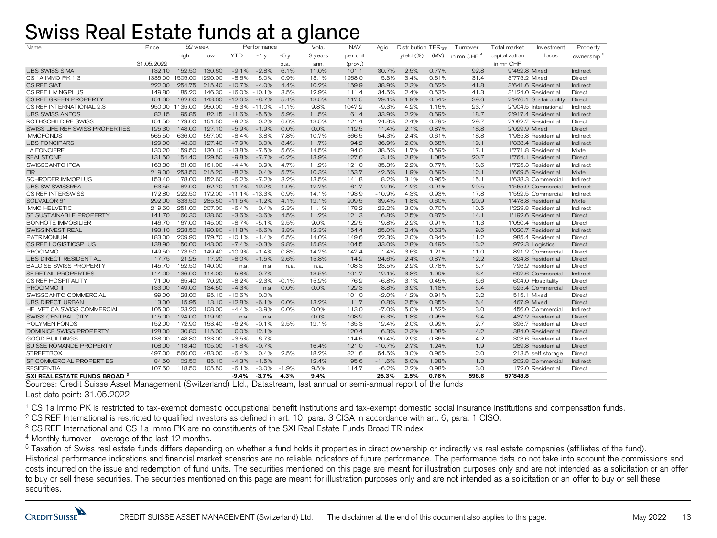#### Swiss Real Estate funds at a glance

| Name                                     | 52 week<br>Price |         | Performance |                   |          |         | Vola.   | <b>NAV</b> | Agio     | Distribution TERREE |       | Turnover               | Total market   | Investment             | Property               |
|------------------------------------------|------------------|---------|-------------|-------------------|----------|---------|---------|------------|----------|---------------------|-------|------------------------|----------------|------------------------|------------------------|
|                                          |                  | high    | low         | <b>YTD</b>        | $-1y$    | $-5y$   | 3 years | per unit   |          | yield (%)           | (MV)  | in mn CHF <sup>4</sup> | capitalization | focus                  | ownership <sup>5</sup> |
|                                          | 31.05.2022       |         |             |                   |          | p.a.    | ann.    | (prov.)    |          |                     |       |                        | in mn CHF      |                        |                        |
| <b>UBS SWISS SIMA</b>                    | 132.10           | 152.50  | 130.60      | $-9.1%$           | $-2.8%$  | 6.1%    | 11.0%   | 101.1      | 30.7%    | 2.5%                | 0.77% | 92.8                   | 9'462.8 Mixed  |                        | Indirect               |
| CS 1A IMMO PK 1,3                        | 1335.00          | 1505.00 | 1290.00     | $-8.6%$           | 5.0%     | 0.9%    | 13.1%   | 1268.0     | 5.3%     | 3.4%                | 0.61% | 31.4                   | 3'775.2 Mixed  |                        | Direct                 |
| CS REF SIAT                              | 222.00           | 254.75  | 215.40      | $-10.7%$          | $-4.0%$  | 4.4%    | 10.2%   | 159.9      | 38.9%    | 2.3%                | 0.62% | 41.8                   |                | 3'641.6 Residential    | Indirect               |
| CS REF LIVINGPLUS                        | 149.80           | 185.20  | 146.30      | $-16.0%$          | $-10.1%$ | 3.5%    | 12.9%   | 111.4      | 34.5%    | 2.4%                | 0.53% | 41.3                   |                | 3'124.0 Residential    | Direct                 |
| CS REF GREEN PROPERTY                    | 151.60           | 182.00  | 143.60      | $-12.6%$          | $-8.7%$  | 5.4%    | 13.5%   | 117.5      | 29.1%    | 1.9%                | 0.54% | 39.6                   |                | 2'976.1 Sustainability | Direct                 |
| CS REF INTERNATIONAL 2.3                 | 950.00           | 1135.00 | 950.00      | $-6.3%$           | $-11.0%$ | $-1.1%$ | 9.8%    | 1047.2     | $-9.3%$  | 4.2%                | 1.16% | 23.7                   |                | 2'904.5 International  | Indirect               |
| <b>UBS SWISS ANFOS</b>                   | 82.15            | 95.85   | 82.15       | $-11.6%$          | $-5.5%$  | 5.9%    | 11.5%   | 61.4       | 33.9%    | 2.2%                | 0.69% | 18.7                   |                | 2'917.4 Residential    | Indirect               |
| ROTHSCHILD RE SWISS                      | 151.50           | 179.00  | 151.50      | $-9.2%$           | 0.2%     | 6.6%    | 13.5%   | 121.4      | 24.8%    | 2.4%                | 0.79% | 29.7                   |                | 2'082.7 Residential    | Direct                 |
| SWISS LIFE REF SWISS PROPERTIES          | 125.30           | 148.00  | 127.10      | $-5.9%$           | $-1.9%$  | 0.0%    | 0.0%    | 112.5      | 11.4%    | 2.1%                | 0.87% | 18.8                   | 2'029.9 Mixed  |                        | Direct                 |
| <b>IMMOFONDS</b>                         | 565.50           | 636.00  | 557.00      | $-8.4%$           | 3.8%     | 7.8%    | 10.7%   | 366.5      | 54.3%    | 2.4%                | 0.61% | 18.8                   |                | 1'985.8 Residential    | Indirect               |
| <b>UBS FONCIPARS</b>                     | 129.00           | 148.30  | 127.40      | $-7.9%$           | 3.0%     | 8.4%    | 11.7%   | 94.2       | 36.9%    | 2.0%                | 0.68% | 19.1                   |                | 1'838.4 Residential    | Indirect               |
| <b>LA FONCIERE</b>                       | 130.20           | 159.50  | 130.10      | $-13.8%$          | $-7.5%$  | 5.6%    | 14.5%   | 94.0       | 38.5%    | 1.7%                | 0.59% | 17.1                   |                | 1'771.8 Residential    | Mixte                  |
| <b>REALSTONE</b>                         | 131.50           | 154.40  | 129.50      | $-9.8%$           | $-7.7%$  | $-0.2%$ | 13.9%   | 127.6      | 3.1%     | 2.8%                | 1.08% | 20.7                   |                | 1'764.1 Residential    | Direct                 |
| SWISSCANTO IFCA                          | 163.80           | 181.00  | 161.00      | $-4.4%$           | 3.9%     | 4.7%    | 11.2%   | 121.0      | 35.3%    | 2.2%                | 0.77% | 18.6                   |                | 1'725.3 Residential    | Indirect               |
| <b>FIR</b>                               | 219.00           | 253.50  | 215.20      | $-8.2%$           | 0.4%     | 5.7%    | 10.3%   | 153.7      | 42.5%    | 1.9%                | 0.59% | 12.1                   |                | 1'669.5 Residential    | Mixte                  |
| <b>SCHRODER IMMOPLUS</b>                 | 153.40           | 178.00  | 152.60      | $-6.2%$           | $-7.2%$  | 3.2%    | 13.5%   | 141.8      | 8.2%     | 3.1%                | 0.96% | 15.1                   |                | 1'638.3 Commercial     | Indirect               |
| <b>UBS SW SWISSREAL</b>                  | 63.55            | 82.00   | 62.70       | $-11.7\% -12.2\%$ |          | 1.9%    | 12.7%   | 61.7       | 2.9%     | 4.2%                | 0.91% | 29.5                   |                | 1'565.9 Commercial     | Indirect               |
| CS REF INTERSWISS                        | 172.80           | 222.50  | 172.00      | $-11.1\% -13.3\%$ |          | 0.9%    | 14.1%   | 193.9      | $-10.9%$ | 4.3%                | 0.93% | 17.8                   |                | 1'552.5 Commercial     | Indirect               |
| SOLVALOR 61                              | 292.00           | 333.50  | 285.50      | $-11.5%$          | $-1.2%$  | 4.1%    | 12.1%   | 209.5      | 39.4%    | 1.8%                | 0.60% | 20.9                   |                | 1'478.8 Residential    | Mixte                  |
| <b>IMMO HELVETIC</b>                     | 219.60           | 251.00  | 207.00      | $-6.4%$           | 0.4%     | 2.3%    | 11.1%   | 178.2      | 23.2%    | 3.0%                | 0.70% | 10.5                   |                | 1'229.8 Residential    | Indirect               |
| SF SUSTAINABLE PROPERTY                  | 141.70           | 160.30  | 138.60      | $-3.6%$           | $-3.6%$  | 4.5%    | 11.2%   | 121.3      | 16.8%    | 2.5%                | 0.87% | 14.1                   |                | 1'192.6 Residential    | Direct                 |
| <b>BONHOTE IMMOBILIER</b>                | 146.70           | 167.00  | 145.00      | $-8.7%$           | $-5.1%$  | 2.5%    | 9.0%    | 122.5      | 19.8%    | 2.2%                | 0.91% | 11.3                   |                | 1'050.4 Residential    | Direct                 |
| SWISSINVEST REAL                         | 193.10           | 228.50  | 190.80      | $-11.8%$          | $-6.6%$  | 3.8%    | 12.3%   | 154.4      | 25.0%    | 2.4%                | 0.63% | 9.6                    |                | 1'020.7 Residential    | Indirect               |
| <b>PATRIMONIUM</b>                       | 183.00           | 209.90  | 179.70      | $-10.1%$          | $-1.4%$  | 6.5%    | 14.0%   | 149.6      | 22.3%    | 2.0%                | 0.84% | 11.2                   |                | 985.4 Residential      | Direct                 |
| CS REF LOGISTICSPLUS                     | 138.90           | 150.00  | 143.00      | $-7.4%$           | $-0.3%$  | 9.8%    | 15.8%   | 104.5      | 33.0%    | 2.8%                | 0.49% | 13.2                   |                | 972.3 Logistics        | Direct                 |
| <b>PROCIMMO</b>                          | 149.50           | 173.50  | 149.40      | $-10.9%$          | $-1.4%$  | 0.8%    | 14.7%   | 147.4      | 1.4%     | 3.6%                | 1.21% | 11.0                   |                | 891.2 Commercial       | Direct                 |
| <b>UBS DIRECT RESIDENTIAL</b>            | 17.75            | 21.25   | 17.20       | $-8.0%$           | $-1.5%$  | 2.6%    | 15.8%   | 14.2       | 24.6%    | 2.4%                | 0.87% | 12.2                   |                | 824.8 Residential      | Direct                 |
| <b>BALOISE SWISS PROPERTY</b>            | 145.70           | 152.50  | 140.00      | n.a.              | n.a.     | n.a.    | n.a.    | 108.3      | 23.5%    | 2.2%                | 0.78% | 5.7                    |                | 796.2 Residential      | Direct                 |
| SF RETAIL PROPERTIES                     | 114.00           | 136.00  | 114.00      | $-5.8%$           | $-0.7%$  |         | 13.5%   | 101.7      | 12.1%    | 3.8%                | 1.09% | 3.4                    |                | 692.6 Commercial       | Indirect               |
| CS REF HOSPITALITY                       | 71.00            | 85.40   | 70.20       | $-8.2%$           | $-2.3%$  | $-0.1%$ | 15.2%   | 76.2       | $-6.8%$  | 3.1%                | 0.45% | 5.6                    |                | 604.0 Hospitality      | Direct                 |
| PROCIMMO II                              | 133.00           | 149.00  | 134.50      | $-4.3%$           | n.a.     | 0.0%    | 0.0%    | 122.3      | 8.8%     | 3.9%                | 1.18% | 5.4                    |                | 525.4 Commercial       | Direct                 |
| SWISSCANTO COMMERCIAL                    | 99.00            | 128.00  | 95.10       | $-10.6%$          | 0.0%     |         |         | 101.0      | $-2.0%$  | 4.2%                | 0.91% | 3.2                    | 515.1 Mixed    |                        | Direct                 |
| <b>UBS DIRECT URBAN</b>                  | 13.00            | 15.95   | 13.10       | $-12.8%$          | $-6.1%$  | 0.0%    | 13.2%   | 11.7       | 10.8%    | 2.5%                | 0.85% | 6.4                    | 467.9 Mixed    |                        | Direct                 |
| <b>HELVETICA SWISS COMMERCIAL</b>        | 105.00           | 123.20  | 108.00      | $-4.4%$           | $-3.9%$  | 0.0%    | 0.0%    | 113.0      | $-7.0%$  | 5.0%                | 1.52% | 3.0                    |                | 456.0 Commercial       | Indirect               |
| SWISS CENTRAL CITY                       | 115.00           | 124.00  | 119.90      | n.a.              | n.a.     |         | 0.0%    | 108.2      | 6.3%     | 1.8%                | 0.95% | 6.4                    |                | 437.2 Residential      | Direct                 |
| POI YMEN FONDS                           | 152.00           | 172.90  | 153.40      | $-6.2%$           | $-0.1%$  | 2.5%    | 12.1%   | 135.3      | 12.4%    | 2.0%                | 0.99% | 2.7                    |                | 396.7 Residential      | Direct                 |
| DOMINICÉ SWISS PROPERTY                  | 128.00           | 130.80  | 115.00      | 0.0%              | 12.1%    |         |         | 120.4      | 6.3%     | 2.3%                | 1.08% | 4.2                    |                | 384.0 Residential      | Direct                 |
| <b>GOOD BUILDINGS</b>                    | 138.00           | 148.80  | 133.00      | $-3.5%$           | 6.7%     |         |         | 114.6      | 20.4%    | 2.9%                | 0.86% | 4.2                    |                | 303.6 Residential      | Direct                 |
| SUISSE ROMANDE PROPERTY                  | 108.00           | 118.40  | 105.00      | $-1.8%$           | $-0.7%$  |         | 16.4%   | 121.0      | $-10.7%$ | 2.7%                | 1.24% | 1.9                    |                | 289.8 Residential      | Direct                 |
| <b>STREETBOX</b>                         | 497.00           | 560.00  | 483.00      | $-6.4%$           | 0.4%     | 2.5%    | 18.2%   | 321.6      | 54.5%    | 3.0%                | 0.96% | 2.0                    |                | 213.5 self storage     | Direct                 |
| SF COMMERCIAL PROPERTIES                 | 84.50            | 102.50  | 85.10       | $-4.3%$           | $-1.5%$  |         | 12.4%   | 95.6       | $-11.6%$ | 5.0%                | 1.38% | 1.3                    |                | 202.8 Commercial       | Indirect               |
| <b>RESIDENTIA</b>                        | 107.50           | 118.50  | 105.50      | $-6.1%$           | $-3.0%$  | $-1.9%$ | 9.5%    | 114.7      | $-6.2%$  | 2.2%                | 0.98% | 3.0                    |                | 172.0 Residential      | Direct                 |
| SXI REAL ESTATE FUNDS BROAD <sup>3</sup> |                  |         |             | $-9.4%$           | $-3.7%$  | 4.3%    | 9.4%    |            | 25.3%    | 2.5%                | 0.76% | 598.6                  | 57'848.8       |                        |                        |

Sources: Credit Suisse Asset Management (Switzerland) Ltd., Datastream, last annual or semi-annual report of the funds Last data point: 31.05.2022

<sup>1</sup> CS 1a Immo PK is restricted to tax-exempt domestic occupational benefit institutions and tax-exempt domestic social insurance institutions and compensation funds.

<sup>2</sup> CS REF International is restricted to qualified investors as defined in art. 10, para. 3 CISA in accordance with art. 6, para. 1 CISO.

<sup>3</sup> CS REF International and CS 1a Immo PK are no constituents of the SXI Real Estate Funds Broad TR index

 $4$  Monthly turnover – average of the last 12 months.

<sup>5</sup> Taxation of Swiss real estate funds differs depending on whether a fund holds it properties in direct ownership or indirectly via real estate companies (affiliates of the fund). Historical performance indications and financial market scenarios are no reliable indicators of future performance. The performance data do not take into account the commissions and costs incurred on the issue and redemption of fund units. The securities mentioned on this page are meant for illustration purposes only and are not intended as a solicitation or an offer to buy or sell these securities. The securities mentioned on this page are meant for illustration purposes only and are not intended as a solicitation or an offer to buy or sell these securities.

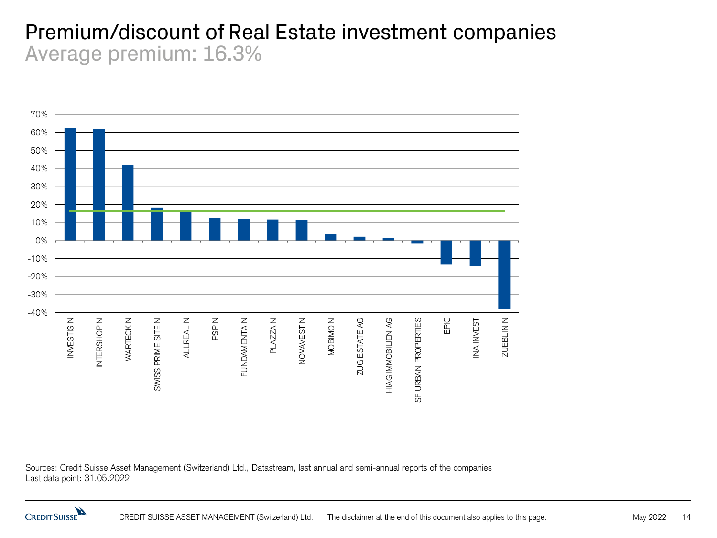#### Premium/discount of Real Estate investment companies Average premium: 16.3%



Sources: Credit Suisse Asset Management (Switzerland) Ltd., Datastream, last annual and semi-annual reports of the companies Last data point: 31.05.2022

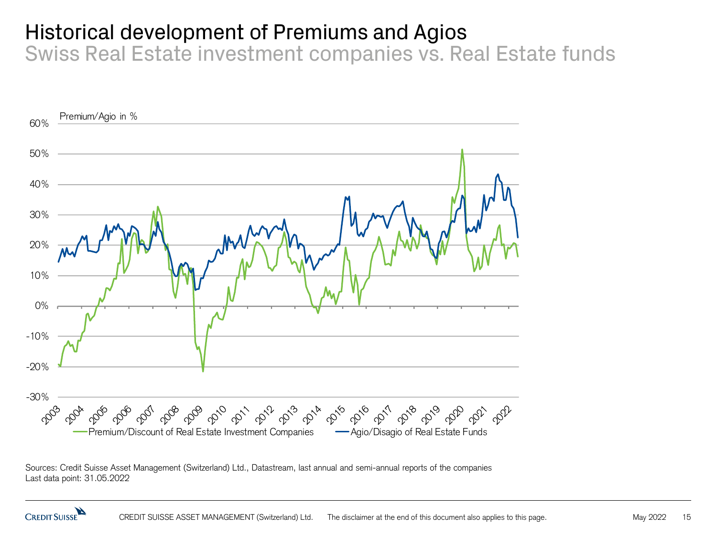## Historical development of Premiums and Agios

Swiss Real Estate investment companies vs. Real Estate funds



Sources: Credit Suisse Asset Management (Switzerland) Ltd., Datastream, last annual and semi-annual reports of the companies Last data point: 31.05.2022

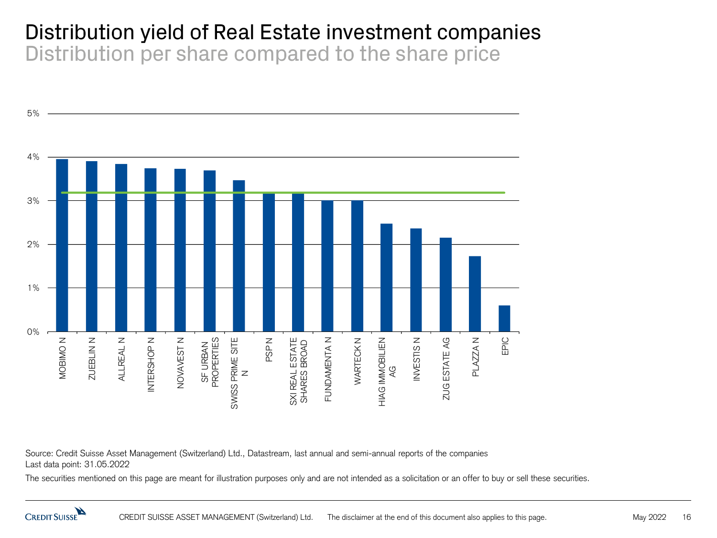#### Distribution yield of Real Estate investment companies Distribution per share compared to the share price



Source: Credit Suisse Asset Management (Switzerland) Ltd., Datastream, last annual and semi-annual reports of the companies Last data point: 31.05.2022

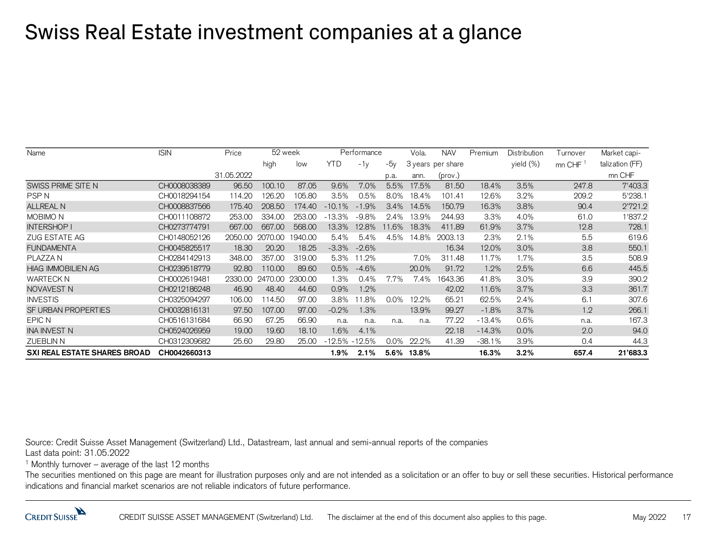#### Swiss Real Estate investment companies at a glance

| Name                                | <b>ISIN</b><br>Price |            | 52 week |         | Performance |          |         | Vola. | <b>NAV</b>        | Premium  | Distribution | Turnover | Market capi-    |
|-------------------------------------|----------------------|------------|---------|---------|-------------|----------|---------|-------|-------------------|----------|--------------|----------|-----------------|
|                                     |                      |            | high    | low     | YTD         | $-1v$    | $-5v$   |       | 3 years per share |          | yield (%)    | mn CHF   | talization (FF) |
|                                     |                      | 31.05.2022 |         |         |             |          | p.a.    | ann.  | (prov.)           |          |              |          | mn CHF          |
| SWISS PRIME SITE N                  | CH0008038389         | 96.50      | 100.10  | 87.05   | 9.6%        | 7.0%     | 5.5%    | 17.5% | 81.50             | 18.4%    | 3.5%         | 247.8    | 7'403.3         |
| <b>PSPN</b>                         | CH0018294154         | 114.20     | 126.20  | 105.80  | 3.5%        | 0.5%     | 8.0%    | 18.4% | 101.41            | 12.6%    | 3.2%         | 209.2    | 5'238.1         |
| <b>ALLREAL N</b>                    | CH0008837566         | 175.40     | 208.50  | 174.40  | $-10.1%$    | $-1.9%$  | 3.4%    | 14.5% | 150.79            | 16.3%    | 3.8%         | 90.4     | 2'721.2         |
| <b>MOBIMO N</b>                     | CH0011108872         | 253.00     | 334.00  | 253.00  | $-13.3%$    | $-9.8%$  | 2.4%    | 13.9% | 244.93            | 3.3%     | 4.0%         | 61.0     | '837.2          |
| <b>INTERSHOP I</b>                  | CH0273774791         | 667,00     | 667.00  | 568.00  | 13.3%       | 12.8%    | 11.6%   | 18.3% | 411.89            | 61.9%    | 3.7%         | 12.8     | 728.1           |
| <b>ZUG ESTATE AG</b>                | CH0148052126         | 2050.00    | 2070.00 | 1940.00 | 5.4%        | 5.4%     | 4.5%    | 14.8% | 2003.13           | 2.3%     | 2.1%         | 5.5      | 619.6           |
| <b>FUNDAMENTA</b>                   | CH0045825517         | 18.30      | 20.20   | 18.25   | $-3.3%$     | $-2.6%$  |         |       | 16.34             | 12.0%    | 3.0%         | 3.8      | 550.1           |
| PLAZZA N                            | CH0284142913         | 348.00     | 357.00  | 319.00  | 5.3%        | 11.2%    |         | 7.0%  | 311.48            | 11.7%    | 1.7%         | 3.5      | 508.9           |
| <b>HIAG IMMOBILIEN AG</b>           | CH0239518779         | 92.80      | 110.00  | 89.60   | 0.5%        | $-4.6%$  |         | 20.0% | 91.72             | 1.2%     | 2.5%         | 6.6      | 445.5           |
| <b>WARTECK N</b>                    | CH0002619481         | 2330.00    | 2470.00 | 2300.00 | 1.3%        | 0.4%     | 7.7%    | 7.4%  | 1643.36           | 41.8%    | 3.0%         | 3.9      | 390.2           |
| NOVAVEST N                          | CH0212186248         | 46.90      | 48.40   | 44.60   | 0.9%        | 1.2%     |         |       | 42.02             | 11.6%    | 3.7%         | 3.3      | 361.7           |
| <b>INVESTIS</b>                     | CH0325094297         | 106.00     | 14.50   | 97.00   | 3.8%        | 11.8%    | 0.0%    | 12.2% | 65.21             | 62.5%    | 2.4%         | 6.1      | 307.6           |
| SF URBAN PROPERTIES                 | CH0032816131         | 97.50      | 107.00  | 97.00   | $-0.2%$     | 1.3%     |         | 13.9% | 99.27             | $-1.8%$  | 3.7%         | 1.2      | 266.1           |
| EPIC N                              | CH0516131684         | 66.90      | 67.25   | 66.90   | n.a.        | n.a.     | n.a.    | n.a.  | 77.22             | $-13.4%$ | 0.6%         | n.a.     | 167.3           |
| <b>INA INVEST N</b>                 | CH0524026959         | 19.00      | 19.60   | 18.10   | 1.6%        | 4.1%     |         |       | 22.18             | $-14.3%$ | 0.0%         | 2.0      | 94.0            |
| <b>ZUEBLIN N</b>                    | CH0312309682         | 25.60      | 29.80   | 25.00   | $-12.5%$    | $-12.5%$ | $0.0\%$ | 22.2% | 41.39             | $-38.1%$ | 3.9%         | 0.4      | 44.3            |
| <b>SXI REAL ESTATE SHARES BROAD</b> | CH0042660313         |            |         |         | 1.9%        | 2.1%     | $5.6\%$ | 13.8% |                   | 16.3%    | 3.2%         | 657.4    | 21'683.3        |

Source: Credit Suisse Asset Management (Switzerland) Ltd., Datastream, last annual and semi-annual reports of the companies Last data point: 31.05.2022

<sup>1</sup> Monthly turnover – average of the last 12 months

The securities mentioned on this page are meant for illustration purposes only and are not intended as a solicitation or an offer to buy or sell these securities. Historical performance indications and financial market scenarios are not reliable indicators of future performance.

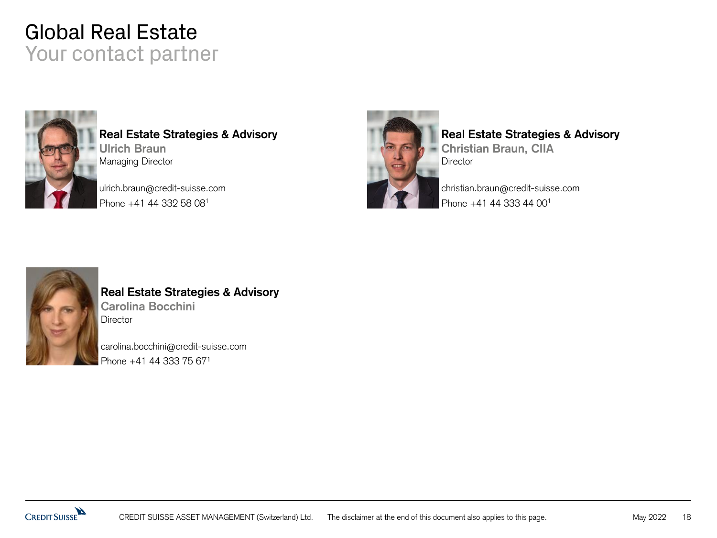#### Global Real Estate Your contact partner



**Real Estate Strategies & Advisory Ulrich Braun** Managing Director

ulrich.braun@credit-suisse.com Phone +41 44 332 58 08<sup>1</sup>



#### **Real Estate Strategies & Advisory**

**Christian Braun, CIIA Director** 

christian.braun@credit-suisse.com Phone +41 44 333 44 00<sup>1</sup>



#### **Real Estate Strategies & Advisory Carolina Bocchini Director**

carolina.bocchini@credit-suisse.com Phone +41 44 333 75 671

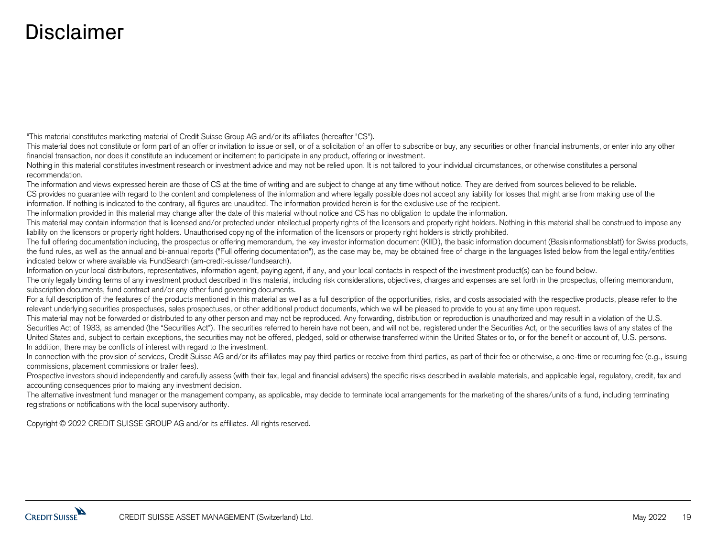#### Disclaimer

"This material constitutes marketing material of Credit Suisse Group AG and/or its affiliates (hereafter "CS").

This material does not constitute or form part of an offer or invitation to issue or sell, or of a solicitation of an offer to subscribe or buy, any securities or other financial instruments, or enter into any other financial transaction, nor does it constitute an inducement or incitement to participate in any product, offering or investment.

Nothing in this material constitutes investment research or investment advice and may not be relied upon. It is not tailored to your individual circumstances, or otherwise constitutes a personal recommendation.

The information and views expressed herein are those of CS at the time of writing and are subject to change at any time without notice. They are derived from sources believed to be reliable. CS provides no guarantee with regard to the content and completeness of the information and where legally possible does not accept any liability for losses that might arise from making use of the information. If nothing is indicated to the contrary, all figures are unaudited. The information provided herein is for the exclusive use of the recipient.

The information provided in this material may change after the date of this material without notice and CS has no obligation to update the information.

This material may contain information that is licensed and/or protected under intellectual property rights of the licensors and property right holders. Nothing in this material shall be construed to impose any liability on the licensors or property right holders. Unauthorised copying of the information of the licensors or property right holders is strictly prohibited.

The full offering documentation including, the prospectus or offering memorandum, the key investor information document (KIID), the basic information document (Basisinformationsblatt) for Swiss products, the fund rules, as well as the annual and bi-annual reports ("Full offering documentation"), as the case may be, may be obtained free of charge in the languages listed below from the legal entity/entities indicated below or where available via FundSearch (am-credit-suisse/fundsearch).

Information on your local distributors, representatives, information agent, paying agent, if any, and your local contacts in respect of the investment product(s) can be found below.

The only legally binding terms of any investment product described in this material, including risk considerations, objectives, charges and expenses are set forth in the prospectus, offering memorandum, subscription documents, fund contract and/or any other fund governing documents.

For a full description of the features of the products mentioned in this material as well as a full description of the opportunities, risks, and costs associated with the respective products, please refer to the relevant underlying securities prospectuses, sales prospectuses, or other additional product documents, which we will be pleased to provide to you at any time upon request.

This material may not be forwarded or distributed to any other person and may not be reproduced. Any forwarding, distribution or reproduction is unauthorized and may result in a violation of the U.S. Securities Act of 1933, as amended (the "Securities Act"). The securities referred to herein have not been, and will not be, registered under the Securities Act, or the securities laws of any states of the United States and, subject to certain exceptions, the securities may not be offered, pledged, sold or otherwise transferred within the United States or to, or for the benefit or account of, U.S. persons. In addition, there may be conflicts of interest with regard to the investment.

In connection with the provision of services, Credit Suisse AG and/or its affiliates may pay third parties or receive from third parties, as part of their fee or otherwise, a one-time or recurring fee (e.g., issuing commissions, placement commissions or trailer fees).

Prospective investors should independently and carefully assess (with their tax, legal and financial advisers) the specific risks described in available materials, and applicable legal, regulatory, credit, tax and accounting consequences prior to making any investment decision.

The alternative investment fund manager or the management company, as applicable, may decide to terminate local arrangements for the marketing of the shares/units of a fund, including terminating registrations or notifications with the local supervisory authority.

Copyright © 2022 CREDIT SUISSE GROUP AG and/or its affiliates. All rights reserved.